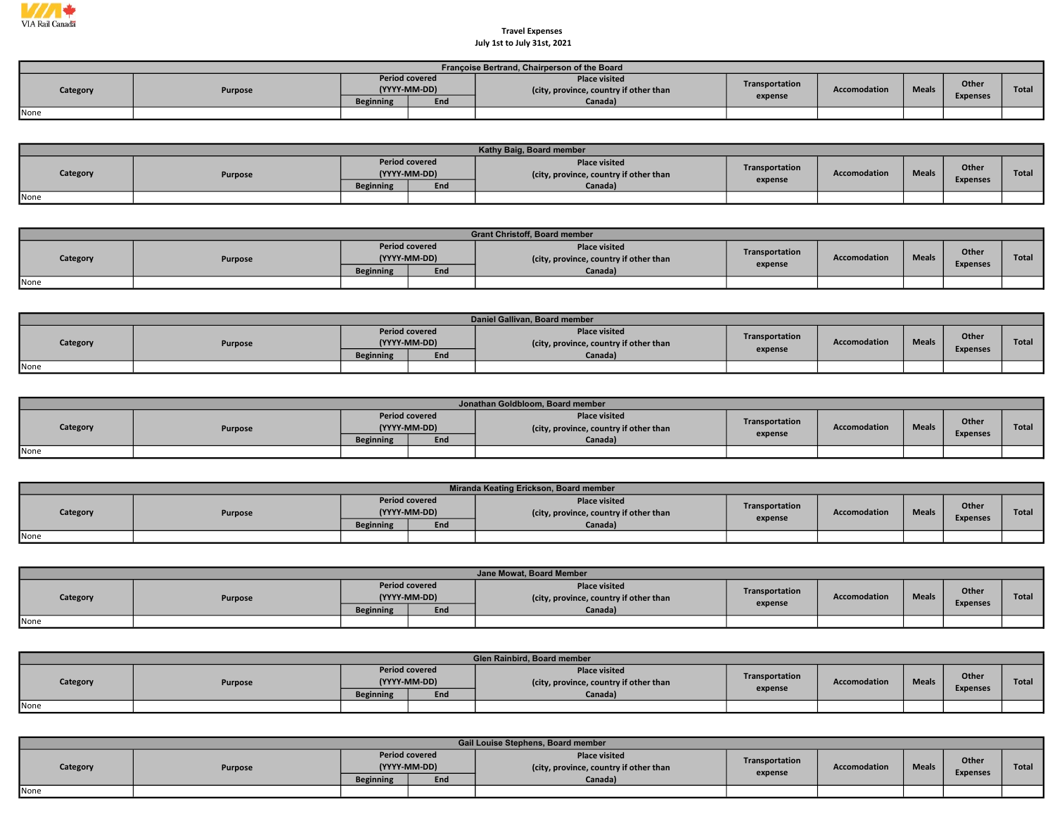

## Travel Expenses July 1st to July 31st, 2021

|          | Françoise Bertrand, Chairperson of the Board |                                       |     |                                                                |                |                     |              |                 |       |  |  |  |  |  |
|----------|----------------------------------------------|---------------------------------------|-----|----------------------------------------------------------------|----------------|---------------------|--------------|-----------------|-------|--|--|--|--|--|
| Category | Purpose                                      | <b>Period covered</b><br>(YYYY-MM-DD) |     | <b>Place visited</b><br>(city, province, country if other than | Transportation | <b>Accomodation</b> | <b>Meals</b> | Other           | Total |  |  |  |  |  |
|          | <b>Beginning</b>                             |                                       | End | Canada)                                                        | expense        |                     |              | <b>Expenses</b> |       |  |  |  |  |  |
| None     |                                              |                                       |     |                                                                |                |                     |              |                 |       |  |  |  |  |  |

|                     | Kathy Baig, Board member |                                       |         |                                                                |                |                     |                 |       |              |  |  |  |  |
|---------------------|--------------------------|---------------------------------------|---------|----------------------------------------------------------------|----------------|---------------------|-----------------|-------|--------------|--|--|--|--|
| Category<br>Purpose |                          | <b>Period covered</b><br>(YYYY-MM-DD) |         | <b>Place visited</b><br>(city, province, country if other than | Transportation | <b>Accomodation</b> | <b>Meals</b>    | Other | <b>Total</b> |  |  |  |  |
|                     | <b>Beginning</b>         | End                                   | Canada) | expense                                                        |                |                     | <b>Expenses</b> |       |              |  |  |  |  |
| None                |                          |                                       |         |                                                                |                |                     |                 |       |              |  |  |  |  |

|          | <b>Grant Christoff, Board member</b> |                         |                                       |                                                                |                |              |              |                          |              |  |  |  |  |
|----------|--------------------------------------|-------------------------|---------------------------------------|----------------------------------------------------------------|----------------|--------------|--------------|--------------------------|--------------|--|--|--|--|
| Category | <b>Purpose</b>                       |                         | <b>Period covered</b><br>(YYYY-MM-DD) | <b>Place visited</b><br>(city, province, country if other than | Transportation | Accomodation | <b>Meals</b> | Other<br><b>Expenses</b> | <b>Total</b> |  |  |  |  |
|          |                                      | <b>Beginning</b><br>End |                                       | Canada)                                                        | expense        |              |              |                          |              |  |  |  |  |
| None     |                                      |                         |                                       |                                                                |                |              |              |                          |              |  |  |  |  |

|          |         |                  |                                       | Daniel Gallivan, Board member                                  |                |              |              |                 |              |
|----------|---------|------------------|---------------------------------------|----------------------------------------------------------------|----------------|--------------|--------------|-----------------|--------------|
| Category | Purpose |                  | <b>Period covered</b><br>(YYYY-MM-DD) | <b>Place visited</b><br>(city, province, country if other than | Transportation | Accomodation | <b>Meals</b> | Other           | <b>Total</b> |
|          |         | <b>Beginning</b> | End                                   | Canada)                                                        | expense        |              |              | <b>Expenses</b> |              |
| None     |         |                  |                                       |                                                                |                |              |              |                 |              |

|          | Jonathan Goldbloom, Board member |                  |                                       |                                                                |                |              |              |                 |              |  |  |  |  |  |
|----------|----------------------------------|------------------|---------------------------------------|----------------------------------------------------------------|----------------|--------------|--------------|-----------------|--------------|--|--|--|--|--|
| Category | Purpose                          |                  | <b>Period covered</b><br>(YYYY-MM-DD) | <b>Place visited</b><br>(city, province, country if other than | Transportation | Accomodation | <b>Meals</b> | Other           | <b>Total</b> |  |  |  |  |  |
|          |                                  | <b>Beginning</b> | End                                   | Canada)                                                        | expense        |              |              | <b>Expenses</b> |              |  |  |  |  |  |
| None     |                                  |                  |                                       |                                                                |                |              |              |                 |              |  |  |  |  |  |

|          | Miranda Keating Erickson, Board member |                  |                                       |                                                                |                |              |              |                 |              |  |  |  |  |  |
|----------|----------------------------------------|------------------|---------------------------------------|----------------------------------------------------------------|----------------|--------------|--------------|-----------------|--------------|--|--|--|--|--|
| Category | Purpose                                |                  | <b>Period covered</b><br>(YYYY-MM-DD) | <b>Place visited</b><br>(city, province, country if other than | Transportation | Accomodation | <b>Meals</b> | Other           | <b>Total</b> |  |  |  |  |  |
|          |                                        | <b>Beginning</b> | End                                   | Canada)                                                        | expense        |              |              | <b>Expenses</b> |              |  |  |  |  |  |
| None     |                                        |                  |                                       |                                                                |                |              |              |                 |              |  |  |  |  |  |

|          | Jane Mowat, Board Member |                                       |     |                                                               |                |                     |              |                 |              |  |  |  |  |
|----------|--------------------------|---------------------------------------|-----|---------------------------------------------------------------|----------------|---------------------|--------------|-----------------|--------------|--|--|--|--|
| Category | Purpose                  | <b>Period covered</b><br>(YYYY-MM-DD) |     | <b>Place visited</b><br>city, province, country if other than | Transportation | <b>Accomodation</b> | <b>Meals</b> | Other           | <b>Total</b> |  |  |  |  |
|          |                          | <b>Beginning</b>                      | End | Canada)                                                       | expense        |                     |              | <b>Expenses</b> |              |  |  |  |  |
| None     |                          |                                       |     |                                                               |                |                     |              |                 |              |  |  |  |  |

|          | Glen Rainbird, Board member |                  |                                       |                                                                |                           |                     |              |                 |       |  |  |  |  |
|----------|-----------------------------|------------------|---------------------------------------|----------------------------------------------------------------|---------------------------|---------------------|--------------|-----------------|-------|--|--|--|--|
| Category | Purpose                     |                  | <b>Period covered</b><br>(YYYY-MM-DD) | <b>Place visited</b><br>(city, province, country if other than | Transportation<br>expense | <b>Accomodation</b> | <b>Meals</b> | Other           | Total |  |  |  |  |
|          |                             | <b>Beginning</b> | End                                   | Canada)                                                        |                           |                     |              | <b>Expenses</b> |       |  |  |  |  |
| None     |                             |                  |                                       |                                                                |                           |                     |              |                 |       |  |  |  |  |

|          | Gail Louise Stephens, Board member |                  |                                       |                                                                |                           |                     |              |                 |              |  |  |  |  |
|----------|------------------------------------|------------------|---------------------------------------|----------------------------------------------------------------|---------------------------|---------------------|--------------|-----------------|--------------|--|--|--|--|
| Category | Purpose                            |                  | <b>Period covered</b><br>(YYYY-MM-DD) | <b>Place visited</b><br>(city, province, country if other than | Transportation<br>expense | <b>Accomodation</b> | <b>Meals</b> | <b>Other</b>    | <b>Total</b> |  |  |  |  |
|          |                                    | <b>Beginning</b> | End                                   | Canada)                                                        |                           |                     |              | <b>Expenses</b> |              |  |  |  |  |
| None     |                                    |                  |                                       |                                                                |                           |                     |              |                 |              |  |  |  |  |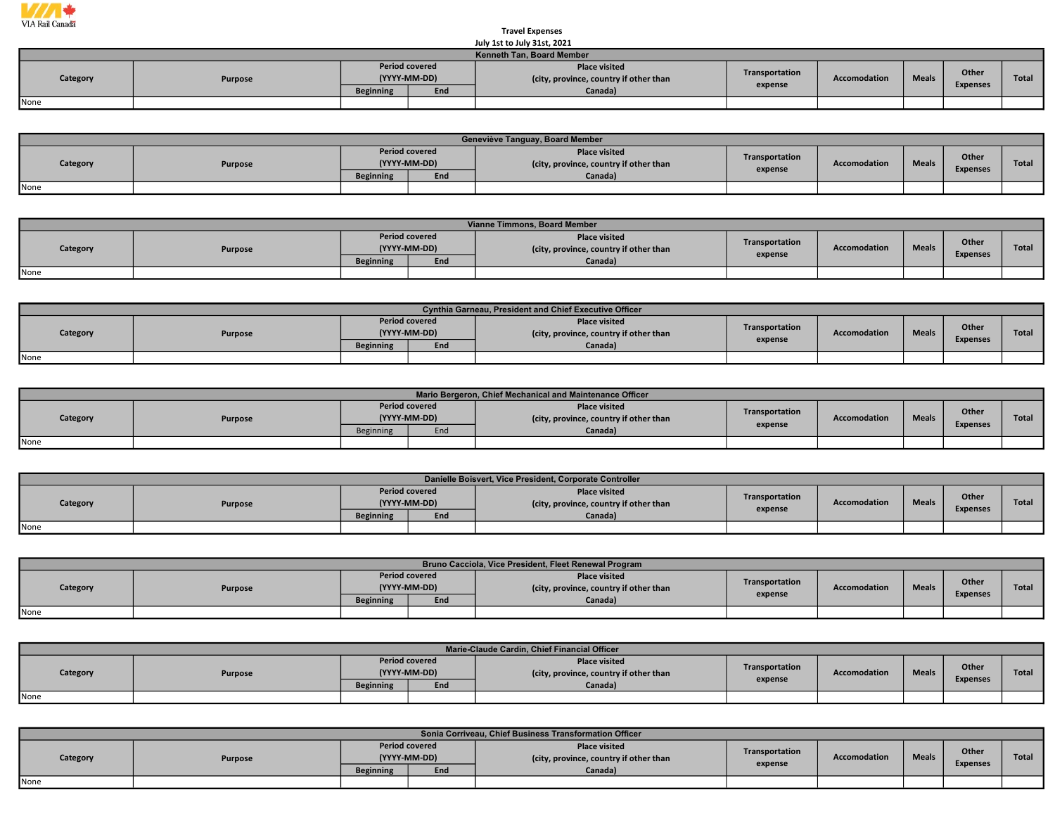

## Travel Expenses July 1st to July 31st, 2021

|                                  | JUIV IST TO JUIV 31ST, ZUZI |                  |                                       |                                                                |                                                |  |  |                          |              |  |  |  |  |
|----------------------------------|-----------------------------|------------------|---------------------------------------|----------------------------------------------------------------|------------------------------------------------|--|--|--------------------------|--------------|--|--|--|--|
| <b>Kenneth Tan, Board Member</b> |                             |                  |                                       |                                                                |                                                |  |  |                          |              |  |  |  |  |
| Category                         | Purpose                     |                  | <b>Period covered</b><br>(YYYY-MM-DD) | <b>Place visited</b><br>(city, province, country if other than | Transportation<br><b>Meals</b><br>Accomodation |  |  | Other<br><b>Expenses</b> | <b>Total</b> |  |  |  |  |
|                                  |                             | <b>Beginning</b> | End                                   | Canada)                                                        | expense                                        |  |  |                          |              |  |  |  |  |
| None                             |                             |                  |                                       |                                                                |                                                |  |  |                          |              |  |  |  |  |

|                     | Geneviève Tanguay, Board Member |                                       |         |                                                                |                |                     |                 |              |              |  |  |  |  |  |
|---------------------|---------------------------------|---------------------------------------|---------|----------------------------------------------------------------|----------------|---------------------|-----------------|--------------|--------------|--|--|--|--|--|
| Category<br>Purpose |                                 | <b>Period covered</b><br>(YYYY-MM-DD) |         | <b>Place visited</b><br>(city, province, country if other than | Transportation | <b>Accomodation</b> | <b>Meals</b>    | <b>Other</b> | <b>Total</b> |  |  |  |  |  |
|                     | <b>Beginning</b>                | End                                   | Canada) | expense                                                        |                |                     | <b>Expenses</b> |              |              |  |  |  |  |  |
| None                |                                 |                                       |         |                                                                |                |                     |                 |              |              |  |  |  |  |  |

|          | Vianne Timmons, Board Member |                  |                                       |                                                                |                |                     |              |                 |       |  |  |  |  |  |
|----------|------------------------------|------------------|---------------------------------------|----------------------------------------------------------------|----------------|---------------------|--------------|-----------------|-------|--|--|--|--|--|
| Category | <b>Purpose</b>               |                  | <b>Period covered</b><br>(YYYY-MM-DD) | <b>Place visited</b><br>(city, province, country if other than | Transportation | <b>Accomodation</b> | <b>Meals</b> | Other           | Total |  |  |  |  |  |
|          |                              | <b>Beginning</b> | End                                   | Canada)                                                        | expense        |                     |              | <b>Expenses</b> |       |  |  |  |  |  |
| None     |                              |                  |                                       |                                                                |                |                     |              |                 |       |  |  |  |  |  |

|          | Cynthia Garneau, President and Chief Executive Officer |                                       |     |                                                                |                |                     |              |                 |              |  |  |  |
|----------|--------------------------------------------------------|---------------------------------------|-----|----------------------------------------------------------------|----------------|---------------------|--------------|-----------------|--------------|--|--|--|
| Category | Purpose                                                | <b>Period covered</b><br>(YYYY-MM-DD) |     | <b>Place visited</b><br>(city, province, country if other than | Transportation | <b>Accomodation</b> | <b>Meals</b> | Other           | <b>Total</b> |  |  |  |
|          |                                                        | <b>Beginning</b>                      | End | Canada)                                                        | expense        |                     |              | <b>Expenses</b> |              |  |  |  |
| None     |                                                        |                                       |     |                                                                |                |                     |              |                 |              |  |  |  |

|          | Mario Bergeron, Chief Mechanical and Maintenance Officer |                                       |     |                                                                |                |              |              |                 |       |  |  |  |  |
|----------|----------------------------------------------------------|---------------------------------------|-----|----------------------------------------------------------------|----------------|--------------|--------------|-----------------|-------|--|--|--|--|
| Category | Purpose                                                  | <b>Period covered</b><br>(YYYY-MM-DD) |     | <b>Place visited</b><br>(city, province, country if other than | Transportation | Accomodation | <b>Meals</b> | Other           | Total |  |  |  |  |
|          |                                                          | <b>Beginning</b>                      | End | Canada)                                                        | expense        |              |              | <b>Expenses</b> |       |  |  |  |  |
| None     |                                                          |                                       |     |                                                                |                |              |              |                 |       |  |  |  |  |

|          | Danielle Boisvert, Vice President, Corporate Controller |                                       |     |                                                                |                |                     |              |                 |       |  |  |  |  |
|----------|---------------------------------------------------------|---------------------------------------|-----|----------------------------------------------------------------|----------------|---------------------|--------------|-----------------|-------|--|--|--|--|
| Category | Purpose                                                 | <b>Period covered</b><br>(YYYY-MM-DD) |     | <b>Place visited</b><br>(city, province, country if other than | Transportation | <b>Accomodation</b> | <b>Meals</b> | Other           | Total |  |  |  |  |
|          |                                                         | <b>Beginning</b>                      | End | Canada)                                                        | expense        |                     |              | <b>Expenses</b> |       |  |  |  |  |
| None     |                                                         |                                       |     |                                                                |                |                     |              |                 |       |  |  |  |  |

|          | Bruno Cacciola, Vice President, Fleet Renewal Program |                                       |     |                                                                |                |                     |              |                 |              |  |  |  |  |
|----------|-------------------------------------------------------|---------------------------------------|-----|----------------------------------------------------------------|----------------|---------------------|--------------|-----------------|--------------|--|--|--|--|
| Category | Purpose                                               | <b>Period covered</b><br>(YYYY-MM-DD) |     | <b>Place visited</b><br>(city, province, country if other than | Transportation | <b>Accomodation</b> | <b>Meals</b> | Other           | <b>Total</b> |  |  |  |  |
|          |                                                       | <b>Beginning</b>                      | End | Canada)                                                        | expense        |                     |              | <b>Expenses</b> |              |  |  |  |  |
| None     |                                                       |                                       |     |                                                                |                |                     |              |                 |              |  |  |  |  |

|          | Marie-Claude Cardin, Chief Financial Officer |                                       |     |                                                                |                |              |              |                          |              |  |  |  |
|----------|----------------------------------------------|---------------------------------------|-----|----------------------------------------------------------------|----------------|--------------|--------------|--------------------------|--------------|--|--|--|
| Category | Purpose                                      | <b>Period covered</b><br>(YYYY-MM-DD) |     | <b>Place visited</b><br>(city, province, country if other than | Transportation | Accomodation | <b>Meals</b> | Other<br><b>Expenses</b> | <b>Total</b> |  |  |  |
|          |                                              | <b>Beginning</b>                      | End | Canada)                                                        | expense        |              |              |                          |              |  |  |  |
| None     |                                              |                                       |     |                                                                |                |              |              |                          |              |  |  |  |

| Sonia Corriveau, Chief Business Transformation Officer |         |                                                                  |  |                                                                           |                           |                     |              |                          |              |  |
|--------------------------------------------------------|---------|------------------------------------------------------------------|--|---------------------------------------------------------------------------|---------------------------|---------------------|--------------|--------------------------|--------------|--|
| Category                                               | Purpose | <b>Period covered</b><br>(YYYY-MM-DD)<br><b>Beginning</b><br>End |  | <b>Place visited</b><br>(city, province, country if other than<br>Canada) | Transportation<br>expense | <b>Accomodation</b> | <b>Meals</b> | Other<br><b>Expenses</b> | <b>Total</b> |  |
| None                                                   |         |                                                                  |  |                                                                           |                           |                     |              |                          |              |  |